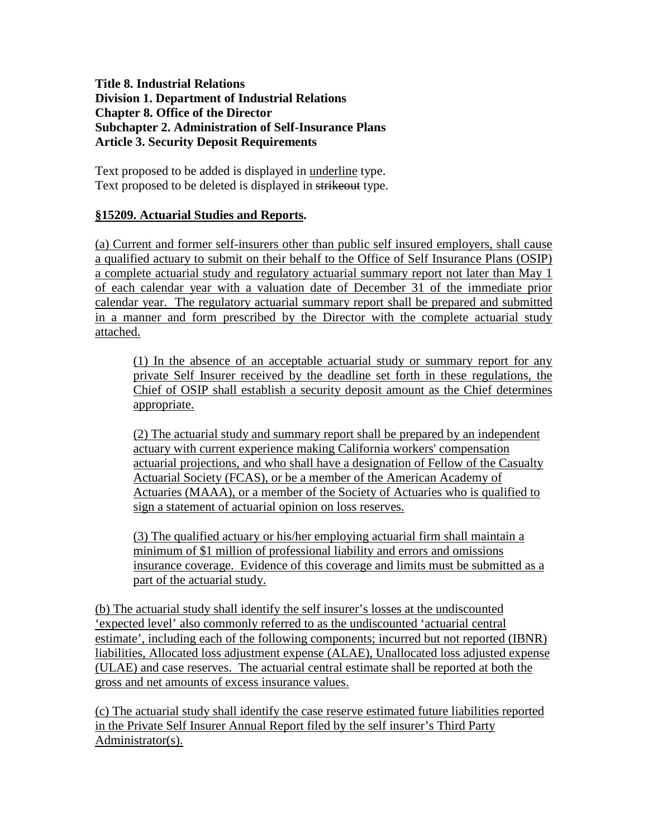## **Title 8. Industrial Relations Division 1. Department of Industrial Relations Chapter 8. Office of the Director Subchapter 2. Administration of Self-Insurance Plans Article 3. Security Deposit Requirements**

Text proposed to be added is displayed in underline type. Text proposed to be deleted is displayed in strikeout type.

## **§15209. Actuarial Studies and Reports.**

(a) Current and former self-insurers other than public self insured employers, shall cause a qualified actuary to submit on their behalf to the Office of Self Insurance Plans (OSIP) a complete actuarial study and regulatory actuarial summary report not later than May 1 of each calendar year with a valuation date of December 31 of the immediate prior calendar year. The regulatory actuarial summary report shall be prepared and submitted in a manner and form prescribed by the Director with the complete actuarial study attached.

(1) In the absence of an acceptable actuarial study or summary report for any private Self Insurer received by the deadline set forth in these regulations, the Chief of OSIP shall establish a security deposit amount as the Chief determines appropriate.

(2) The actuarial study and summary report shall be prepared by an independent actuary with current experience making California workers' compensation actuarial projections, and who shall have a designation of Fellow of the Casualty Actuarial Society (FCAS), or be a member of the American Academy of Actuaries (MAAA), or a member of the Society of Actuaries who is qualified to sign a statement of actuarial opinion on loss reserves.

(3) The qualified actuary or his/her employing actuarial firm shall maintain a minimum of \$1 million of professional liability and errors and omissions insurance coverage. Evidence of this coverage and limits must be submitted as a part of the actuarial study.

(b) The actuarial study shall identify the self insurer's losses at the undiscounted 'expected level' also commonly referred to as the undiscounted 'actuarial central estimate', including each of the following components; incurred but not reported (IBNR) liabilities, Allocated loss adjustment expense (ALAE), Unallocated loss adjusted expense (ULAE) and case reserves. The actuarial central estimate shall be reported at both the gross and net amounts of excess insurance values.

(c) The actuarial study shall identify the case reserve estimated future liabilities reported in the Private Self Insurer Annual Report filed by the self insurer's Third Party Administrator(s).